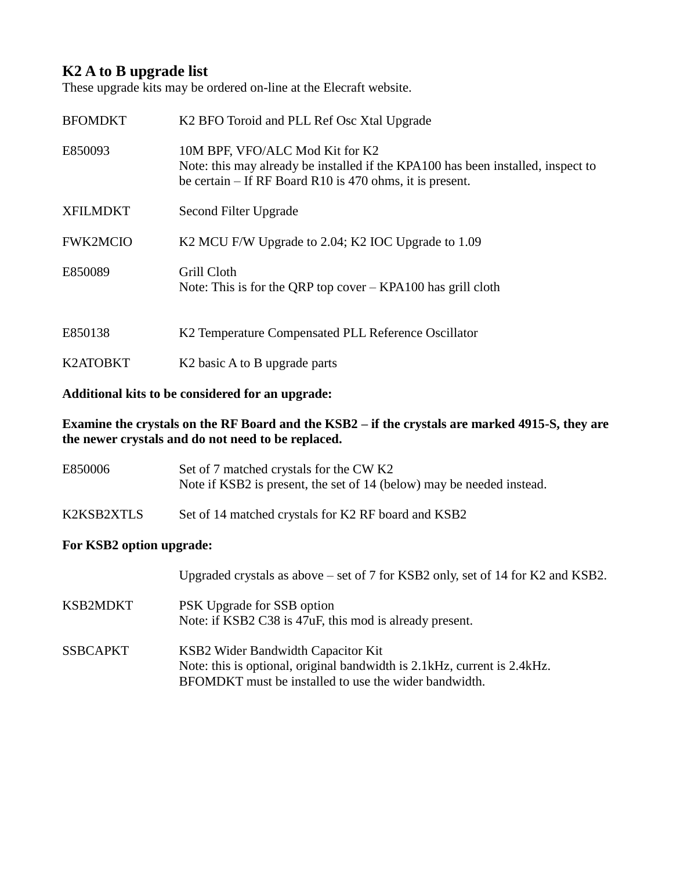## **K2 A to B upgrade list**

These upgrade kits may be ordered on-line at the Elecraft website.

| <b>BFOMDKT</b>  | K <sub>2</sub> BFO Toroid and PLL Ref Osc Xtal Upgrade                                                                                                                            |  |
|-----------------|-----------------------------------------------------------------------------------------------------------------------------------------------------------------------------------|--|
| E850093         | 10M BPF, VFO/ALC Mod Kit for K2<br>Note: this may already be installed if the KPA100 has been installed, inspect to<br>be certain $-$ If RF Board R10 is 470 ohms, it is present. |  |
| <b>XFILMDKT</b> | Second Filter Upgrade                                                                                                                                                             |  |
| <b>FWK2MCIO</b> | K2 MCU F/W Upgrade to 2.04; K2 IOC Upgrade to 1.09                                                                                                                                |  |
| E850089         | Grill Cloth<br>Note: This is for the QRP top cover $-$ KPA100 has grill cloth                                                                                                     |  |
| E850138         | K2 Temperature Compensated PLL Reference Oscillator                                                                                                                               |  |
| K2ATOBKT        | K <sub>2</sub> basic A to B upgrade parts                                                                                                                                         |  |

## **Additional kits to be considered for an upgrade:**

**Examine the crystals on the RF Board and the KSB2 – if the crystals are marked 4915-S, they are the newer crystals and do not need to be replaced.**

| E850006                  | Set of 7 matched crystals for the CW K2<br>Note if KSB2 is present, the set of 14 (below) may be needed instead. |  |
|--------------------------|------------------------------------------------------------------------------------------------------------------|--|
| K2KSB2XTLS               | Set of 14 matched crystals for K2 RF board and KSB2                                                              |  |
| For KSB2 option upgrade: |                                                                                                                  |  |
|                          | Upgraded crystals as above $-$ set of 7 for KSB2 only, set of 14 for K2 and KSB2.                                |  |

| KSB2MDKT | PSK Upgrade for SSB option<br>Note: if KSB2 C38 is 47uF, this mod is already present. |
|----------|---------------------------------------------------------------------------------------|
|          |                                                                                       |

SSBCAPKT KSB2 Wider Bandwidth Capacitor Kit Note: this is optional, original bandwidth is 2.1kHz, current is 2.4kHz. BFOMDKT must be installed to use the wider bandwidth.